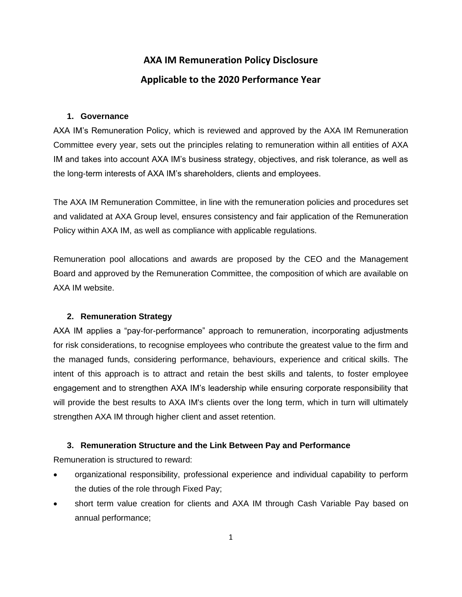# **AXA IM Remuneration Policy Disclosure Applicable to the 2020 Performance Year**

## **1. Governance**

AXA IM's Remuneration Policy, which is reviewed and approved by the AXA IM Remuneration Committee every year, sets out the principles relating to remuneration within all entities of AXA IM and takes into account AXA IM's business strategy, objectives, and risk tolerance, as well as the long-term interests of AXA IM's shareholders, clients and employees.

The AXA IM Remuneration Committee, in line with the remuneration policies and procedures set and validated at AXA Group level, ensures consistency and fair application of the Remuneration Policy within AXA IM, as well as compliance with applicable regulations.

Remuneration pool allocations and awards are proposed by the CEO and the Management Board and approved by the Remuneration Committee, the composition of which are available on AXA IM website.

# **2. Remuneration Strategy**

AXA IM applies a "pay-for-performance" approach to remuneration, incorporating adjustments for risk considerations, to recognise employees who contribute the greatest value to the firm and the managed funds, considering performance, behaviours, experience and critical skills. The intent of this approach is to attract and retain the best skills and talents, to foster employee engagement and to strengthen AXA IM's leadership while ensuring corporate responsibility that will provide the best results to AXA IM's clients over the long term, which in turn will ultimately strengthen AXA IM through higher client and asset retention.

# **3. Remuneration Structure and the Link Between Pay and Performance**

Remuneration is structured to reward:

- organizational responsibility, professional experience and individual capability to perform the duties of the role through Fixed Pay;
- short term value creation for clients and AXA IM through Cash Variable Pay based on annual performance;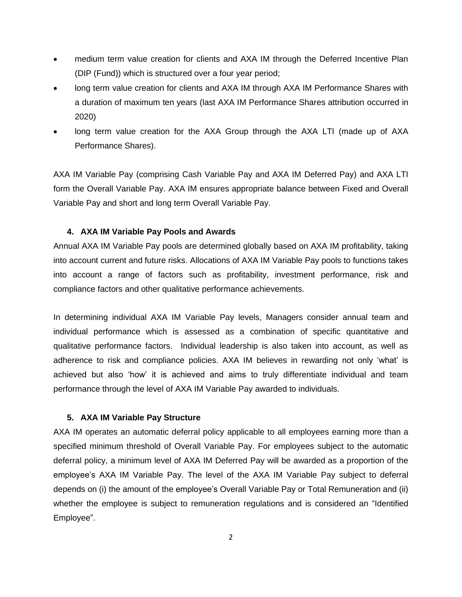- medium term value creation for clients and AXA IM through the Deferred Incentive Plan (DIP (Fund)) which is structured over a four year period;
- long term value creation for clients and AXA IM through AXA IM Performance Shares with a duration of maximum ten years (last AXA IM Performance Shares attribution occurred in 2020)
- long term value creation for the AXA Group through the AXA LTI (made up of AXA Performance Shares).

AXA IM Variable Pay (comprising Cash Variable Pay and AXA IM Deferred Pay) and AXA LTI form the Overall Variable Pay. AXA IM ensures appropriate balance between Fixed and Overall Variable Pay and short and long term Overall Variable Pay.

# **4. AXA IM Variable Pay Pools and Awards**

Annual AXA IM Variable Pay pools are determined globally based on AXA IM profitability, taking into account current and future risks. Allocations of AXA IM Variable Pay pools to functions takes into account a range of factors such as profitability, investment performance, risk and compliance factors and other qualitative performance achievements.

In determining individual AXA IM Variable Pay levels, Managers consider annual team and individual performance which is assessed as a combination of specific quantitative and qualitative performance factors. Individual leadership is also taken into account, as well as adherence to risk and compliance policies. AXA IM believes in rewarding not only 'what' is achieved but also 'how' it is achieved and aims to truly differentiate individual and team performance through the level of AXA IM Variable Pay awarded to individuals.

## **5. AXA IM Variable Pay Structure**

AXA IM operates an automatic deferral policy applicable to all employees earning more than a specified minimum threshold of Overall Variable Pay. For employees subject to the automatic deferral policy, a minimum level of AXA IM Deferred Pay will be awarded as a proportion of the employee's AXA IM Variable Pay. The level of the AXA IM Variable Pay subject to deferral depends on (i) the amount of the employee's Overall Variable Pay or Total Remuneration and (ii) whether the employee is subject to remuneration regulations and is considered an "Identified Employee".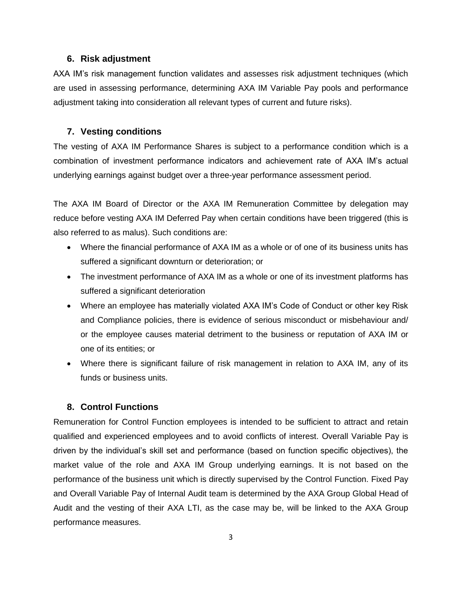#### **6. Risk adjustment**

AXA IM's risk management function validates and assesses risk adjustment techniques (which are used in assessing performance, determining AXA IM Variable Pay pools and performance adjustment taking into consideration all relevant types of current and future risks).

#### **7. Vesting conditions**

The vesting of AXA IM Performance Shares is subject to a performance condition which is a combination of investment performance indicators and achievement rate of AXA IM's actual underlying earnings against budget over a three-year performance assessment period.

The AXA IM Board of Director or the AXA IM Remuneration Committee by delegation may reduce before vesting AXA IM Deferred Pay when certain conditions have been triggered (this is also referred to as malus). Such conditions are:

- Where the financial performance of AXA IM as a whole or of one of its business units has suffered a significant downturn or deterioration; or
- The investment performance of AXA IM as a whole or one of its investment platforms has suffered a significant deterioration
- Where an employee has materially violated AXA IM's Code of Conduct or other key Risk and Compliance policies, there is evidence of serious misconduct or misbehaviour and/ or the employee causes material detriment to the business or reputation of AXA IM or one of its entities; or
- Where there is significant failure of risk management in relation to AXA IM, any of its funds or business units.

# **8. Control Functions**

Remuneration for Control Function employees is intended to be sufficient to attract and retain qualified and experienced employees and to avoid conflicts of interest. Overall Variable Pay is driven by the individual's skill set and performance (based on function specific objectives), the market value of the role and AXA IM Group underlying earnings. It is not based on the performance of the business unit which is directly supervised by the Control Function. Fixed Pay and Overall Variable Pay of Internal Audit team is determined by the AXA Group Global Head of Audit and the vesting of their AXA LTI, as the case may be, will be linked to the AXA Group performance measures.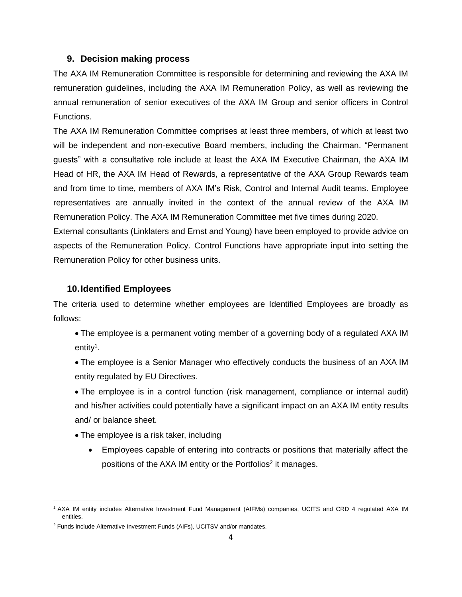#### **9. Decision making process**

The AXA IM Remuneration Committee is responsible for determining and reviewing the AXA IM remuneration guidelines, including the AXA IM Remuneration Policy, as well as reviewing the annual remuneration of senior executives of the AXA IM Group and senior officers in Control Functions.

The AXA IM Remuneration Committee comprises at least three members, of which at least two will be independent and non-executive Board members, including the Chairman. "Permanent guests" with a consultative role include at least the AXA IM Executive Chairman, the AXA IM Head of HR, the AXA IM Head of Rewards, a representative of the AXA Group Rewards team and from time to time, members of AXA IM's Risk, Control and Internal Audit teams. Employee representatives are annually invited in the context of the annual review of the AXA IM Remuneration Policy. The AXA IM Remuneration Committee met five times during 2020.

External consultants (Linklaters and Ernst and Young) have been employed to provide advice on aspects of the Remuneration Policy. Control Functions have appropriate input into setting the Remuneration Policy for other business units.

## **10.Identified Employees**

The criteria used to determine whether employees are Identified Employees are broadly as follows:

- The employee is a permanent voting member of a governing body of a regulated AXA IM entity<sup>1</sup>.
- The employee is a Senior Manager who effectively conducts the business of an AXA IM entity regulated by EU Directives.
- The employee is in a control function (risk management, compliance or internal audit) and his/her activities could potentially have a significant impact on an AXA IM entity results and/ or balance sheet.
- The employee is a risk taker, including
	- Employees capable of entering into contracts or positions that materially affect the positions of the AXA IM entity or the Portfolios<sup>2</sup> it manages.

<sup>1</sup> AXA IM entity includes Alternative Investment Fund Management (AIFMs) companies, UCITS and CRD 4 regulated AXA IM entities.

<sup>2</sup> Funds include Alternative Investment Funds (AIFs), UCITSV and/or mandates.